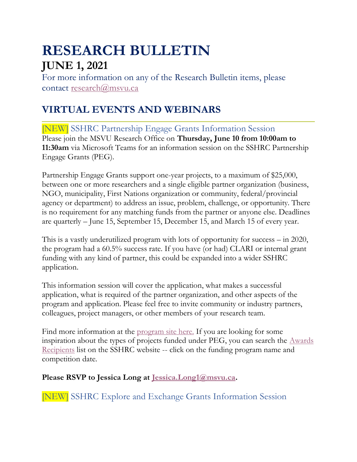# **RESEARCH BULLETIN JUNE 1, 2021**

For more information on any of the Research Bulletin items, please contact [research@msvu.ca](mailto:research@msvu.ca)

# **VIRTUAL EVENTS AND WEBINARS**

[NEW] SSHRC Partnership Engage Grants Information Session Please join the MSVU Research Office on **Thursday, June 10 from 10:00am to 11:30am** via Microsoft Teams for an information session on the SSHRC Partnership Engage Grants (PEG).

Partnership Engage Grants support one-year projects, to a maximum of \$25,000, between one or more researchers and a single eligible partner organization (business, NGO, municipality, First Nations organization or community, federal/provincial agency or department) to address an issue, problem, challenge, or opportunity. There is no requirement for any matching funds from the partner or anyone else. Deadlines are quarterly – June 15, September 15, December 15, and March 15 of every year.

This is a vastly underutilized program with lots of opportunity for success – in 2020, the program had a 60.5% success rate. If you have (or had) CLARI or internal grant funding with any kind of partner, this could be expanded into a wider SSHRC application.

This information session will cover the application, what makes a successful application, what is required of the partner organization, and other aspects of the program and application. Please feel free to invite community or industry partners, colleagues, project managers, or other members of your research team.

Find more information at the <u>[program site here.](https://www.sshrc-crsh.gc.ca/funding-financement/programs-programmes/partnership_engage_grants-subventions_d_engagement_partenarial-eng.aspx)</u> If you are looking for some inspiration about the types of projects funded under PEG, you can search the [Awards](https://www.sshrc-crsh.gc.ca/results-resultats/recipients-recipiendaires/index-eng.aspx)  [Recipients](https://www.sshrc-crsh.gc.ca/results-resultats/recipients-recipiendaires/index-eng.aspx) list on the SSHRC website -- click on the funding program name and competition date.

**Please RSVP to Jessica Long at [Jessica.Long1@msvu.ca.](mailto:Jessica.Long1@msvu.ca)**

[NEW] SSHRC Explore and Exchange Grants Information Session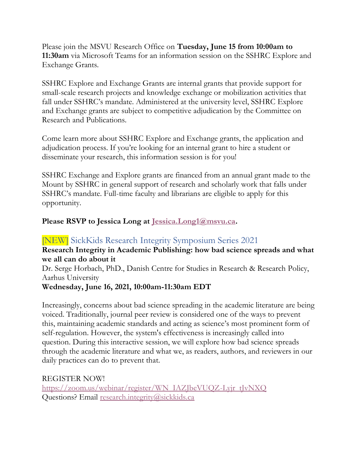Please join the MSVU Research Office on **Tuesday, June 15 from 10:00am to 11:30am** via Microsoft Teams for an information session on the SSHRC Explore and Exchange Grants.

SSHRC Explore and Exchange Grants are internal grants that provide support for small-scale research projects and knowledge exchange or mobilization activities that fall under SSHRC's mandate. Administered at the university level, SSHRC Explore and Exchange grants are subject to competitive adjudication by the Committee on Research and Publications.

Come learn more about SSHRC Explore and Exchange grants, the application and adjudication process. If you're looking for an internal grant to hire a student or disseminate your research, this information session is for you!

SSHRC Exchange and Explore grants are financed from an annual grant made to the Mount by SSHRC in general support of research and scholarly work that falls under SSHRC's mandate. Full-time faculty and librarians are eligible to apply for this opportunity.

#### **Please RSVP to Jessica Long at [Jessica.Long1@msvu.ca.](mailto:Jessica.Long1@msvu.ca)**

#### [NEW] SickKids Research Integrity Symposium Series 2021

#### **Research Integrity in Academic Publishing: how bad science spreads and what we all can do about it**

Dr. Serge Horbach, PhD., Danish Centre for Studies in Research & Research Policy, Aarhus University

#### **Wednesday, June 16, 2021, 10:00am-11:30am EDT**

Increasingly, concerns about bad science spreading in the academic literature are being voiced. Traditionally, journal peer review is considered one of the ways to prevent this, maintaining academic standards and acting as science's most prominent form of self-regulation. However, the system's effectiveness is increasingly called into question. During this interactive session, we will explore how bad science spreads through the academic literature and what we, as readers, authors, and reviewers in our daily practices can do to prevent that.

REGISTER NOW! [https://zoom.us/webinar/register/WN\\_IAZJbeVUQZ-Lyjr\\_tJvNXQ](https://zoom.us/webinar/register/WN_IAZJbeVUQZ-Lyjr_tJvNXQ) Questions? Email [research.integrity@sickkids.ca](mailto:research.integrity@sickkids.ca)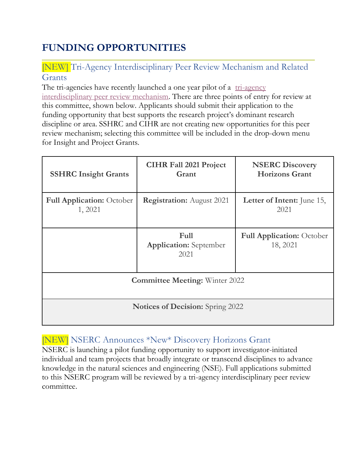# **FUNDING OPPORTUNITIES**

### [NEW] Tri-Agency Interdisciplinary Peer Review Mechanism and Related Grants

The tri-agencies have recently launched a one year pilot of a tri-agency [interdisciplinary peer review mechanism.](https://cihr-irsc.gc.ca/e/52470.html) There are three points of entry for review at this committee, shown below. Applicants should submit their application to the funding opportunity that best supports the research project's dominant research discipline or area. SSHRC and CIHR are not creating new opportunities for this peer review mechanism; selecting this committee will be included in the drop-down menu for Insight and Project Grants.

| <b>SSHRC Insight Grants</b>                 | <b>CIHR Fall 2021 Project</b><br>Grant        | <b>NSERC Discovery</b><br><b>Horizons Grant</b> |
|---------------------------------------------|-----------------------------------------------|-------------------------------------------------|
| <b>Full Application:</b> October<br>1, 2021 | <b>Registration:</b> August 2021              | <b>Letter of Intent:</b> June 15,<br>2021       |
|                                             | Full<br><b>Application:</b> September<br>2021 | <b>Full Application:</b> October<br>18, 2021    |
|                                             | <b>Committee Meeting: Winter 2022</b>         |                                                 |
|                                             | <b>Notices of Decision:</b> Spring 2022       |                                                 |

### [NEW] NSERC Announces \*New\* Discovery Horizons Grant

NSERC is launching a pilot funding opportunity to support investigator-initiated individual and team projects that broadly integrate or transcend disciplines to advance knowledge in the natural sciences and engineering (NSE). Full applications submitted to this NSERC program will be reviewed by a tri-agency interdisciplinary peer review committee.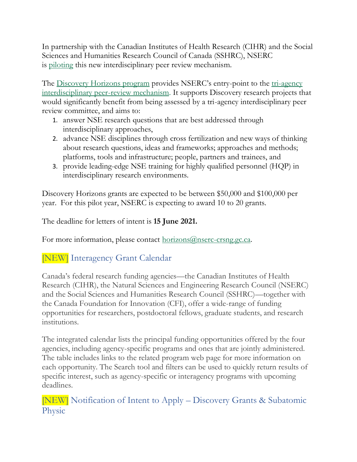In partnership with the Canadian Institutes of Health Research (CIHR) and the Social Sciences and Humanities Research Council of Canada (SSHRC), NSERC is [piloting](https://www.sshrc-crsh.gc.ca/news_room-salle_de_presse/latest_news-nouvelles_recentes/2021/pilot_committee_interdisciplinary_research-comite_pilote_recherche_interdisciplinaire-eng.aspx) this new interdisciplinary peer review mechanism.

The [Discovery Horizons program](https://www.nserc-crsng.gc.ca/Professors-Professeurs/Grants-Subs/DH-HD_eng.asp) provides NSERC's entry-point to the [tri-agency](https://cihr-irsc.gc.ca/e/52470.html)  [interdisciplinary peer-review mechanism.](https://cihr-irsc.gc.ca/e/52470.html) It supports Discovery research projects that would significantly benefit from being assessed by a tri-agency interdisciplinary peer review committee, and aims to:

- 1. answer NSE research questions that are best addressed through interdisciplinary approaches,
- 2. advance NSE disciplines through cross fertilization and new ways of thinking about research questions, ideas and frameworks; approaches and methods; platforms, tools and infrastructure; people, partners and trainees, and
- 3. provide leading-edge NSE training for highly qualified personnel (HQP) in interdisciplinary research environments.

Discovery Horizons grants are expected to be between \$50,000 and \$100,000 per year. For this pilot year, NSERC is expecting to award 10 to 20 grants.

The deadline for letters of intent is **15 June 2021.**

For more information, please contact [horizons@nserc-crsng.gc.ca.](mailto:horizons@nserc-crsng.gc.ca)

### [NEW] Interagency Grant Calendar

Canada's federal research funding agencies—the Canadian Institutes of Health Research (CIHR), the Natural Sciences and Engineering Research Council (NSERC) and the Social Sciences and Humanities Research Council (SSHRC)—together with the Canada Foundation for Innovation (CFI), offer a wide-range of funding opportunities for researchers, postdoctoral fellows, graduate students, and research institutions.

The integrated calendar lists the principal funding opportunities offered by the four agencies, including agency-specific programs and ones that are jointly administered. The table includes links to the related program web page for more information on each opportunity. The Search tool and filters can be used to quickly return results of specific interest, such as agency-specific or interagency programs with upcoming deadlines.

[NEW] Notification of Intent to Apply – Discovery Grants & Subatomic Physic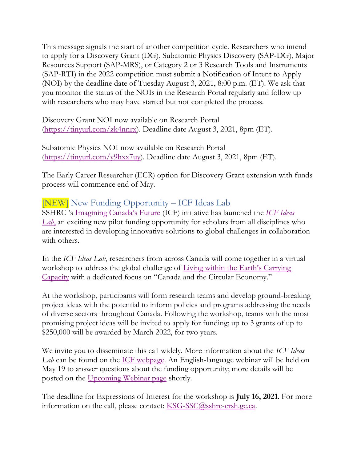This message signals the start of another competition cycle. Researchers who intend to apply for a Discovery Grant (DG), Subatomic Physics Discovery (SAP-DG), Major Resources Support (SAP-MRS), or Category 2 or 3 Research Tools and Instruments (SAP-RTI) in the 2022 competition must submit a Notification of Intent to Apply (NOI) by the deadline date of Tuesday August 3, 2021, 8:00 p.m. (ET). We ask that you monitor the status of the NOIs in the Research Portal regularly and follow up with researchers who may have started but not completed the process.

Discovery Grant NOI now available on Research Portal [\(https://tinyurl.com/zk4nnrx\)](https://tinyurl.com/zk4nnrx). Deadline date August 3, 2021, 8pm (ET).

Subatomic Physics NOI now available on Research Portal [\(https://tinyurl.com/y9hxx7uy\)](https://tinyurl.com/y9hxx7uy). Deadline date August 3, 2021, 8pm (ET).

The Early Career Researcher (ECR) option for Discovery Grant extension with funds process will commence end of May.

### [NEW] New Funding Opportunity – ICF Ideas Lab

SSHRC 's [Imagining Canada's Future](https://www.sshrc-crsh.gc.ca/society-societe/community-communite/Imagining_Canadas_Future-Imaginer_l_avenir_du_Canada-eng.aspx) (ICF) initiative has launched the *[ICF Ideas](https://www.sshrc-crsh.gc.ca/funding-financement/programs-programmes/ideas_lab-carrefour_d-idees-eng.aspx)  [Lab](https://www.sshrc-crsh.gc.ca/funding-financement/programs-programmes/ideas_lab-carrefour_d-idees-eng.aspx)*, an exciting new pilot funding opportunity for scholars from all disciplines who are interested in developing innovative solutions to global challenges in collaboration with others.

In the *ICF Ideas Lab*, researchers from across Canada will come together in a virtual workshop to address the global challenge of [Living within the Earth's Carrying](https://horizons.gc.ca/en/2018/10/19/the-next-generation-of-emerging-global-challenges/#living-within)  [Capacity](https://horizons.gc.ca/en/2018/10/19/the-next-generation-of-emerging-global-challenges/#living-within) with a dedicated focus on "Canada and the Circular Economy."

At the workshop, participants will form research teams and develop ground-breaking project ideas with the potential to inform policies and programs addressing the needs of diverse sectors throughout Canada. Following the workshop, teams with the most promising project ideas will be invited to apply for funding; up to 3 grants of up to \$250,000 will be awarded by March 2022, for two years.

We invite you to disseminate this call widely. More information about the *ICF Ideas Lab* can be found on the [ICF webpage.](https://www.sshrc-crsh.gc.ca/society-societe/community-communite/ifca-iac/icf_ideas_lab-iac_carrefour_d-idees-eng.aspx) An English-language webinar will be held on May 19 to answer questions about the funding opportunity; more details will be posted on the [Upcoming Webinar page](https://www.sshrc-crsh.gc.ca/funding-financement/webinars-webinaires/index-eng.aspx) shortly.

The deadline for Expressions of Interest for the workshop is **July 16, 2021**. For more information on the call, please contact: [KSG-SSC@sshrc-crsh.gc.ca.](mailto:KSG-SSC@sshrc-crsh.gc.ca)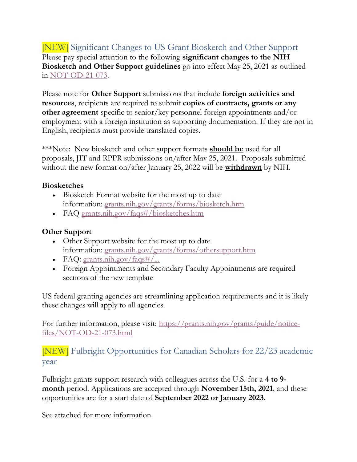[NEW] Significant Changes to US Grant Biosketch and Other Support Please pay special attention to the following **significant changes to the NIH Biosketch and Other Support guidelines** go into effect May 25, 2021 as outlined in [NOT-OD-21-073.](https://grants.nih.gov/grants/guide/notice-files/NOT-OD-21-073.html)

Please note for **Other Support** submissions that include **foreign activities and resources**, recipients are required to submit **copies of contracts, grants or any other agreement** specific to senior/key personnel foreign appointments and/or employment with a foreign institution as supporting documentation. If they are not in English, recipients must provide translated copies.

\*\*\*Note: New biosketch and other support formats **should be** used for all proposals, JIT and RPPR submissions on/after May 25, 2021. Proposals submitted without the new format on/after January 25, 2022 will be **withdrawn** by NIH.

#### **Biosketches**

- Biosketch Format website for the most up to date information: [grants.nih.gov/grants/forms/biosketch.htm](https://grants.nih.gov/grants/forms/biosketch.htm)
- FAQ [grants.nih.gov/faqs#/biosketches.htm](https://grants.nih.gov/faqs#/biosketches.htm)

#### **Other Support**

- Other Support website for the most up to date information: [grants.nih.gov/grants/forms/othersupport.htm](https://grants.nih.gov/grants/forms/othersupport.htm)
- FAQ: [grants.nih.gov/faqs#/...](https://grants.nih.gov/faqs#/other-support-and-foreign-components.htm)
- Foreign Appointments and Secondary Faculty Appointments are required sections of the new template

US federal granting agencies are streamlining application requirements and it is likely these changes will apply to all agencies.

For further information, please visit: [https://grants.nih.gov/grants/guide/notice](https://grants.nih.gov/grants/guide/notice-files/NOT-OD-21-073.html)[files/NOT-OD-21-073.html](https://grants.nih.gov/grants/guide/notice-files/NOT-OD-21-073.html)

[NEW] Fulbright Opportunities for Canadian Scholars for 22/23 academic year

Fulbright grants support research with colleagues across the U.S. for a **4 to 9 month** period. Applications are accepted through **November 15th, 2021**, and these opportunities are for a start date of **September 2022 or January 2023.**

See attached for more information.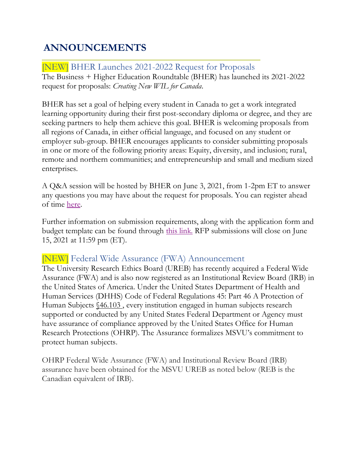# **ANNOUNCEMENTS**

[NEW] BHER Launches 2021-2022 Request for Proposals The Business + Higher Education Roundtable (BHER) has launched its 2021-2022 request for proposals: *Creating New WIL for Canada*.

BHER has set a goal of helping every student in Canada to get a work integrated learning opportunity during their first post-secondary diploma or degree, and they are seeking partners to help them achieve this goal. BHER is welcoming proposals from all regions of Canada, in either official language, and focused on any student or employer sub-group. BHER encourages applicants to consider submitting proposals in one or more of the following priority areas: Equity, diversity, and inclusion; rural, remote and northern communities; and entrepreneurship and small and medium sized enterprises.

A Q&A session will be hosted by BHER on June 3, 2021, from 1-2pm ET to answer any questions you may have about the request for proposals. You can register ahead of time [here.](https://docs.google.com/forms/d/e/1FAIpQLSfj7DS_KylyfgaYxZWyNx9EPwDT1KggMNBGZGGqT9GK4dzxKg/viewform)

Further information on submission requirements, along with the application form and budget template can be found through [this link.](https://bher.ca/partnerships/request-proposals) RFP submissions will close on June 15, 2021 at 11:59 pm (ET).

### [NEW] Federal Wide Assurance (FWA) Announcement

The University Research Ethics Board (UREB) has recently acquired a Federal Wide Assurance (FWA) and is also now registered as an Institutional Review Board (IRB) in the United States of America. Under the United States Department of Health and Human Services (DHHS) Code of Federal Regulations 45: Part 46 A Protection of Human Subjects [§46.103](https://www.ecfr.gov/cgi-bin/text-idx?m=05&d=17&y=2021&cd=20210524&submit=GO&SID=83cd09e1c0f5c6937cd9d7513160fc3f&node=pt45.1.46&pd=20180719#se45.1.46_1103) , every institution engaged in human subjects research supported or conducted by any United States Federal Department or Agency must have assurance of compliance approved by the United States Office for Human Research Protections (OHRP). The Assurance formalizes MSVU's commitment to protect human subjects.

OHRP Federal Wide Assurance (FWA) and Institutional Review Board (IRB) assurance have been obtained for the MSVU UREB as noted below (REB is the Canadian equivalent of IRB).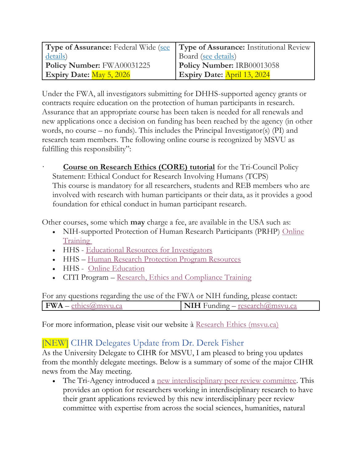|                                 | <b>Type of Assurance:</b> Federal Wide (see <b>Type of Assurance:</b> Institutional Review |
|---------------------------------|--------------------------------------------------------------------------------------------|
| details)                        | Board (see details)                                                                        |
| Policy Number: FWA00031225      | Policy Number: IRB00013058                                                                 |
| <b>Expiry Date:</b> May 5, 2026 | Expiry Date: April 13, 2024                                                                |

Under the FWA, all investigators submitting for DHHS-supported agency grants or contracts require education on the protection of human participants in research. Assurance that an appropriate course has been taken is needed for all renewals and new applications once a decision on funding has been reached by the agency (in other words, no course – no funds). This includes the Principal Investigator(s) (PI) and research team members. The following online course is recognized by MSVU as fulfilling this responsibility":

**[Course on Research Ethics \(CORE\) tutorial](http://tcps2core.ca/welcome)** for the Tri-Council Policy Statement: Ethical Conduct for Research Involving Humans (TCPS) This course is mandatory for all researchers, students and REB members who are involved with research with human participants or their data, as it provides a good foundation for ethical conduct in human participant research.

Other courses, some which **may** charge a fee, are available in the USA such as:

- NIH-supported Protection of Human Research Participants (PRHP) Online **[Training](https://phrptraining.com/)**
- HHS [Educational Resources for Investigators](https://www.hhs.gov/ohrp/sites/default/files/educational-resources-for-investigators.pdf)
- HHS [Human Research Protection Program Resources](https://www.hhs.gov/ohrp/education-and-outreach/human-research-protection-program-fundamentals/index.html)
- HHS [Online Education](https://www.hhs.gov/ohrp/education-and-outreach/online-education/index.html)
- CITI Program [Research, Ethics and Compliance Training](https://about.citiprogram.org/en/homepage/)

| For any questions regarding the use of the FWA or NIH funding, please contact: |
|--------------------------------------------------------------------------------|
|--------------------------------------------------------------------------------|

For more information, please visit our website à [Research Ethics \(msvu.ca\)](https://www.msvu.ca/research-at-the-mount/research-ethics/)

### [NEW] CIHR Delegates Update from Dr. Derek Fisher

As the University Delegate to CIHR for MSVU, I am pleased to bring you updates from the monthly delegate meetings. Below is a summary of some of the major CIHR news from the May meeting.

• The Tri-Agency introduced a new [interdisciplinary peer review committee.](https://cihr-irsc.gc.ca/e/52470.html) This provides an option for researchers working in interdisciplinary research to have their grant applications reviewed by this new interdisciplinary peer review committee with expertise from across the social sciences, humanities, natural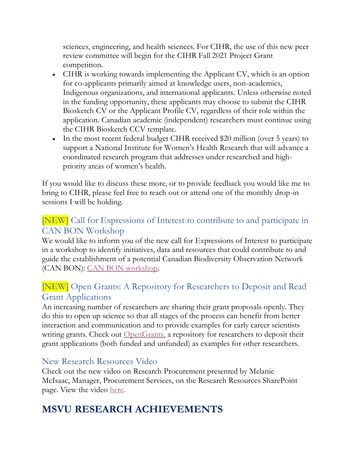sciences, engineering, and health sciences. For CIHR, the use of this new peer review committee will begin for the CIHR Fall 2021 Project Grant competition.

- CIHR is working towards implementing the Applicant CV, which is an option for co-applicants primarily aimed at knowledge users, non-academics, Indigenous organizations, and international applicants. Unless otherwise noted in the funding opportunity, these applicants may choose to submit the CIHR Biosketch CV or the Applicant Profile CV, regardless of their role within the application. Canadian academic (independent) researchers must continue using the CIHR Biosketch CCV template.
- In the most recent federal budget CIHR received \$20 million (over 5 years) to support a National Institute for Women's Health Research that will advance a coordinated research program that addresses under researched and highpriority areas of women's health.

If you would like to discuss these more, or to provide feedback you would like me to bring to CIHR, please feel free to reach out or attend one of the monthly drop-in sessions I will be holding.

### [NEW] Call for Expressions of Interest to contribute to and participate in CAN BON Workshop

We would like to inform you of the new call for Expressions of Interest to participate in a workshop to identify initiatives, data and resources that could contribute to and guide the establishment of a potential Canadian Biodiversity Observation Network (CAN BON): [CAN BON workshop.](https://can01.safelinks.protection.outlook.com/?url=https%3A%2F%2Fcompetitions2.nserc-crsng.gc.ca%2Fsites%2F500021%2F993%2FHome.aspx&data=04%7C01%7CChantal.Thauvette%40NSERC-CRSNG.GC.CA%7C72a5f7bf57864e744f2508d910b28375%7Cfbef079820e34be7bdc8372032610f65%7C1%7C0%7C637559181154352312%7CUnknown%7CTWFpbGZsb3d8eyJWIjoiMC4wLjAwMDAiLCJQIjoiV2luMzIiLCJBTiI6Ik1haWwiLCJXVCI6Mn0%3D%7C1000&sdata=spfSD6zYYMu3zEnQ9HLSG2GZt0x7TnFyb%2B4Bp2ffgrs%3D&reserved=0)

### [NEW] Open Grants: A Repository for Researchers to Deposit and Read Grant Applications

An increasing number of researchers are sharing their grant proposals openly. They do this to open up science so that all stages of the process can benefit from better interaction and communication and to provide examples for early career scientists writing grants. Check out **OpenGrants**, a repository for researchers to deposit their grant applications (both funded and unfunded) as examples for other researchers.

### New Research Resources Video

Check out the new video on Research Procurement presented by Melanie McIsaac, Manager, Procurement Services, on the Research Resources SharePoint page. View the video [here.](https://msvuhfx.sharepoint.com/:v:/r/sites/myMount/MSVUResearchResources/Documents/Financial%20Resources/Procurement%20(Resource%20Video).mp4?csf=1&web=1&e=q3tOTC)

# **MSVU RESEARCH ACHIEVEMENTS**